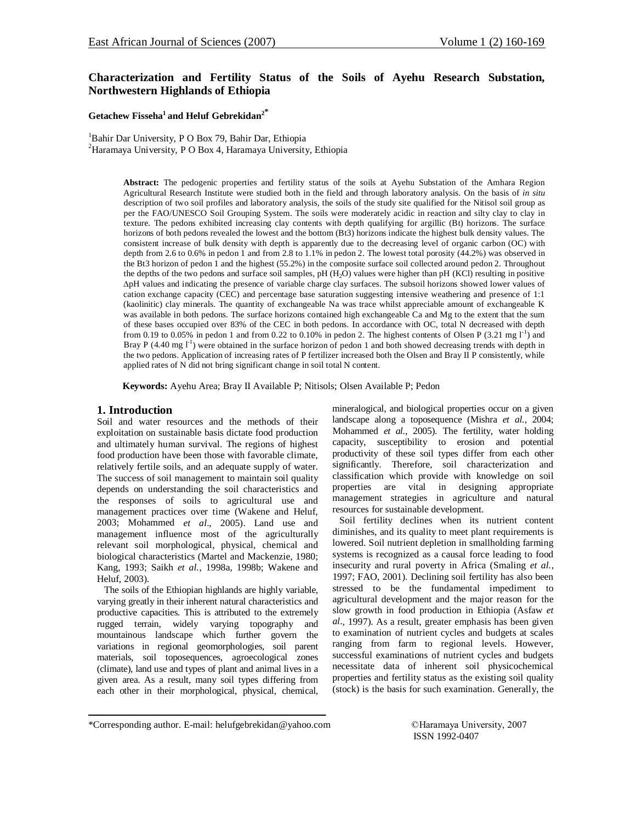# **Characterization and Fertility Status of the Soils of Ayehu Research Substation, Northwestern Highlands of Ethiopia**

# **Getachew Fisseha <sup>1</sup> and Heluf Gebrekidan 2\***

<sup>1</sup>Bahir Dar University, P O Box 79, Bahir Dar, Ethiopia  ${}^{2}$ Haramaya University, P O Box 4, Haramaya University, Ethiopia

> **Abstract:** The pedogenic properties and fertility status of the soils at Ayehu Substation of the Amhara Region Agricultural Research Institute were studied both in the field and through laboratory analysis. On the basis of *in situ* description of two soil profiles and laboratory analysis, the soils of the study site qualified for the Nitisol soil group as per the FAO/UNESCO Soil Grouping System. The soils were moderately acidic in reaction and silty clay to clay in texture. The pedons exhibited increasing clay contents with depth qualifying for argillic (Bt) horizons. The surface horizons of both pedons revealed the lowest and the bottom (Bt3) horizons indicate the highest bulk density values. The consistent increase of bulk density with depth is apparently due to the decreasing level of organic carbon (OC) with depth from 2.6 to 0.6% inpedon 1 and from 2.8 to 1.1% inpedon 2. The lowest total porosity (44.2%) was observed in the Bt3 horizon of pedon 1 and the highest (55.2%) in the composite surface soil collected around pedon 2. Throughout the depths of the two pedons and surface soil samples, pH (H2O) values were higher than pH (KCl) resulting in positive pH values and indicating the presence of variable charge clay surfaces. The subsoil horizons showed lower values of cation exchange capacity (CEC) and percentage base saturation suggesting intensive weathering and presence of 1:1 (kaolinitic) clay minerals. The quantity of exchangeable Na was trace whilst appreciable amount of exchangeable K was available in both pedons. The surface horizons contained high exchangeable Ca and Mg to the extent that the sum of these bases occupied over 83% of the CEC in both pedons. In accordance with OC, total N decreased with depth from 0.19 to 0.05% in pedon 1 and from 0.22 to 0.10% in pedon 2. The highest contents of Olsen P (3.21 mg  $1<sup>1</sup>$ ) and Bray P  $(4.40 \text{ mg } I<sup>-1</sup>)$  were obtained in the surface horizon of pedon 1 and both showed decreasing trends with depth in the two pedons. Application of increasing rates of P fertilizer increased both the Olsen and Bray II P consistently, while applied rates of N did not bring significant change in soil total N content.

**Keywords:** Ayehu Area; Bray II Available P; Nitisols; Olsen Available P; Pedon

## **1. Introduction**

Soil and water resources and the methods of their exploitation on sustainable basis dictate food production and ultimately human survival. The regions of highest food production have been those with favorable climate, relatively fertile soils, and an adequate supply of water. The success of soil management to maintain soil quality depends on understanding the soil characteristics and the responses of soils to agricultural use and management practices over time (Wakene and Heluf, 2003; Mohammed *et al*., 2005). Land use and management influence most of the agriculturally relevant soil morphological, physical, chemical and biological characteristics (Martel and Mackenzie, 1980; Kang, 1993; Saikh *et al.*, 1998a, 1998b; Wakene and Heluf, 2003).

The soils of the Ethiopian highlands are highly variable, varying greatly in their inherent natural characteristics and productive capacities. This is attributed to the extremely rugged terrain, widely varying topography and mountainous landscape which further govern the variations in regional geomorphologies, soil parent materials, soil toposequences, agroecological zones (climate), land use and types of plant and animal lives in a given area. As a result, many soil types differing from each other in their morphological, physical, chemical,

mineralogical, and biological properties occur on a given landscape along a toposequence (Mishra *et al.*, 2004; Mohammed *et al.*, 2005). The fertility, water holding capacity, susceptibility to erosion and potential productivity of these soil types differ from each other significantly. Therefore, soil characterization and classification which provide with knowledge on soil properties are vital in designing appropriate management strategies in agriculture and natural resources for sustainable development.

Soil fertility declines when its nutrient content diminishes, and its quality to meet plant requirements is lowered. Soil nutrient depletion in smallholding farming systems is recognized as a causal force leading to food insecurity and rural poverty in Africa (Smaling *et al.*, 1997; FAO, 2001). Declining soil fertility has also been stressed to be the fundamental impediment to agricultural development and the major reason for the slow growth in food production in Ethiopia (Asfaw *et al.*, 1997). As a result, greater emphasis has been given to examination of nutrient cycles and budgets at scales ranging from farm to regional levels. However, successful examinations of nutrient cycles and budgets necessitate data of inherent soil physicochemical properties and fertility status as the existing soil quality (stock) is the basis for such examination. Generally, the

ISSN 1992-0407

<sup>\*</sup>Corresponding author. E-mail: [helufgebrekidan@yahoo.com](mailto:helufgebrekidan@yahoo.com) ©Haramaya University, 2007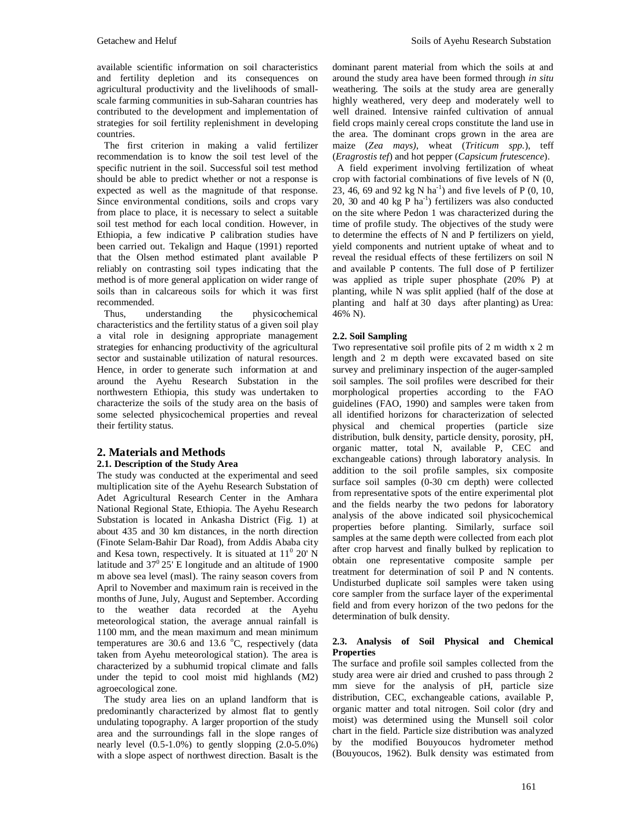available scientific information on soil characteristics and fertility depletion and its consequences on agricultural productivity and the livelihoods of small scale farming communities in sub-Saharan countries has contributed to the development and implementation of strategies for soil fertility replenishment in developing countries.

The first criterion in making a valid fertilizer recommendation is to know the soil test level of the specific nutrient in the soil. Successful soil test method should be able to predict whether or not a response is expected as well as the magnitude of that response. Since environmental conditions, soils and crops vary from place to place, it is necessary to select a suitable soil test method for each local condition. However, in Ethiopia, a few indicative P calibration studies have been carried out. Tekalign and Haque (1991) reported that the Olsen method estimated plant available P reliably on contrasting soil types indicating that the method is of more general application on wider range of soils than in calcareous soils for which it was first recommended.

Thus, understanding the physicochemical characteristics and the fertility status of a given soil play a vital role in designing appropriate management strategies for enhancing productivity of the agricultural sector and sustainable utilization of natural resources. Hence, in order to generate such information at and around the Ayehu Research Substation in the northwestern Ethiopia, this study was undertaken to characterize the soils of the study area on the basis of some selected physicochemical properties and reveal their fertility status.

## **2. Materials and Methods 2.1. Description of the Study Area**

The study was conducted at the experimental and seed multiplication site of the Ayehu Research Substation of Adet Agricultural Research Center in the Amhara National Regional State, Ethiopia. The Ayehu Research Substation is located in Ankasha District (Fig. 1) at about 435 and 30 km distances, in the north direction (Finote Selam-Bahir Dar Road), from Addis Ababa city and Kesa town, respectively. It is situated at  $11^{\circ}$  20' N  $^{-}$  at latitude and  $37^{\circ}$  25' E longitude and an altitude of 1900 m above sea level (masl). The rainy season covers from April to November and maximum rain is received in the months of June, July, August and September. According to the weather data recorded at the Ayehu meteorological station, the average annual rainfall is 1100 mm, and the mean maximum and mean minimum temperatures are  $30.6$  and  $13.6$  °C, respectively (data taken from Ayehu meteorological station). The area is characterized by a subhumid tropical climate and falls under the tepid to cool moist mid highlands (M2) agroecological zone.

The study area lies on an upland landform that is predominantly characterized by almost flat to gently undulating topography. A larger proportion of the study area and the surroundings fall in the slope ranges of nearly level (0.5-1.0%) to gently slopping (2.0-5.0%) with a slope aspect of northwest direction. Basalt is the

dominant parent material from which the soils at and around the study area have been formed through *in situ* weathering. The soils at the study area are generally highly weathered, very deep and moderately well to well drained. Intensive rainfed cultivation of annual field crops mainly cereal crops constitute the land use in the area. The dominant crops grown in the area are maize (*Zea mays)*, wheat (*Triticum spp.*), teff (*Eragrostis tef*) and hot pepper (*Capsicum frutescence*).

A field experiment involving fertilization of wheat crop with factorial combinations of five levels of N  $(0, 23, 46, 69, 92, 80, 10)$  and  $(10, 10, 10)$ 20, 30 and 40  $kg$  P  $ha^{-1}$ ) fertilizers was also conducted on the site where Pedon 1 was characterized during the time of profile study. The objectives of the study were to determine the effects of N and P fertilizers on yield, yield components and nutrient uptake of wheat and to reveal the residual effects of these fertilizers on soil N and available P contents. The full dose of P fertilizer was applied as triple super phosphate (20% P) at planting, while N was split applied (half of the dose at planting and half at 30 days after planting) as Urea: 46% N).

## **2.2. Soil Sampling**

Two representative soil profile pits of 2 m width x 2 m length and 2 m depth were excavated based on site survey and preliminary inspection of the auger-sampled soil samples. The soil profiles were described for their morphological properties according to the FAO guidelines (FAO, 1990) and samples were taken from all identified horizons for characterization of selected physical and chemical properties (particle size distribution, bulk density, particle density, porosity, pH, organic matter, total N, available P, CEC and exchangeable cations) through laboratory analysis. In addition to the soil profile samples, six composite surface soil samples (0-30 cm depth) were collected from representative spots of the entire experimental plot and the fields nearby the two pedons for laboratory analysis of the above indicated soil physicochemical properties before planting. Similarly, surface soil samples at the same depth were collected from each plot after crop harvest and finally bulked by replication to obtain one representative composite sample per treatment for determination of soil P and N contents. Undisturbed duplicate soil samples were taken using core sampler from the surface layer of the experimental field and from every horizon of the two pedons for the determination of bulk density.

## **2.3. Analysis of Soil Physical and Chemical Properties**

The surface and profile soil samples collected from the study area were air dried and crushed to pass through 2 mm sieve for the analysis of pH, particle size distribution, CEC, exchangeable cations, available P, organic matter and total nitrogen. Soil color (dry and moist) was determined using the Munsell soil color chart in the field. Particle size distribution was analyzed by the modified Bouyoucos hydrometer method (Bouyoucos, 1962). Bulk density was estimated from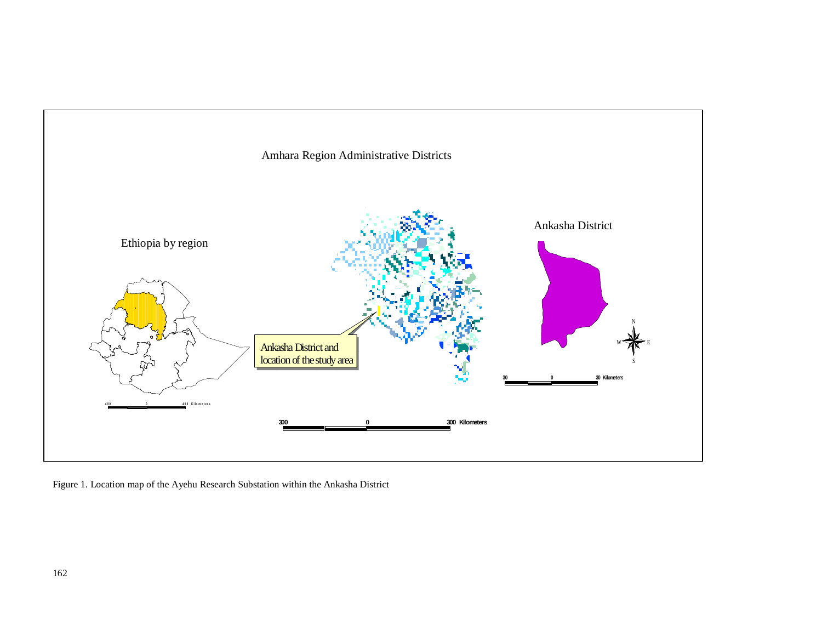

Figure 1. Location map of the Ayehu Research Substation within the Ankasha District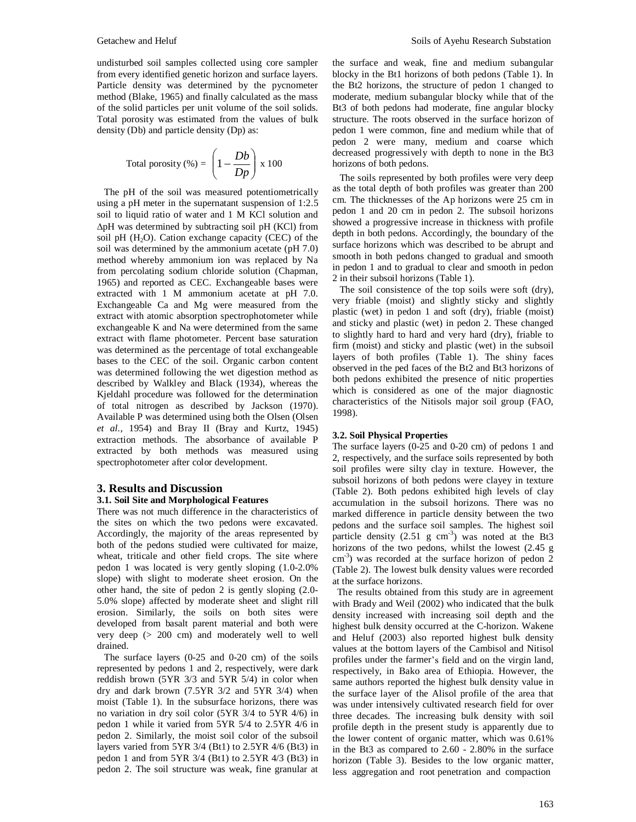undisturbed soil samples collected using core sampler from every identified genetic horizon and surface layers. Particle density was determined by the pycnometer method (Blake, 1965) and finally calculated as the mass of the solid particles per unit volume of the soil solids. Total porosity was estimated from the values of bulk density (Db) and particle density (Dp) as:

Total porosity (%) = 
$$
\left(1 - \frac{Db}{Dp}\right) \times 100
$$

The pH of the soil was measured potentiometrically using a pH meter in the supernatant suspension of 1:2.5 soil to liquid ratio of water and 1 M KCl solution and  $\Delta$ pH was determined by subtracting soil pH (KCl) from soil pH  $(H<sub>2</sub>O)$ . Cation exchange capacity (CEC) of the soil was determined by the ammonium acetate (pH 7.0) method whereby ammonium ion was replaced by Na from percolating sodium chloride solution (Chapman, 1965) and reported as CEC. Exchangeable bases were extracted with 1 M ammonium acetate at pH 7.0. Exchangeable Ca and Mg were measured from the extract with atomic absorption spectrophotometer while exchangeable K and Na were determined from the same extract with flame photometer. Percent base saturation was determined as the percentage of total exchangeable bases to the CEC of the soil. Organic carbon content was determined following the wet digestion method as described by Walkley and Black (1934), whereas the Kjeldahl procedure was followed for the determination of total nitrogen as described by Jackson (1970). Available P was determined using both the Olsen (Olsen *et al.*, 1954) and Bray II (Bray and Kurtz, 1945) extraction methods. The absorbance of available P extracted by both methods was measured using spectrophotometer after color development.

## **3. Results and Discussion**

#### **3.1. Soil Site and Morphological Features**

There was not much difference in the characteristics of the sites on which the two pedons were excavated. Accordingly, the majority of the areas represented by both of the pedons studied were cultivated for maize, wheat, triticale and other field crops. The site where pedon 1 was located is very gently sloping (1.0-2.0% slope) with slight to moderate sheet erosion. On the other hand, the site of pedon 2 is gently sloping (2.0- 5.0% slope) affected by moderate sheet and slight rill erosion. Similarly, the soils on both sites were developed from basalt parent material and both were very deep (> 200 cm) and moderately well to well drained.

The surface layers (0-25 and 0-20 cm) of the soils represented by pedons 1 and 2, respectively, were dark reddish brown (5YR 3/3 and 5YR 5/4) in color when dry and dark brown (7.5YR 3/2 and 5YR 3/4) when moist (Table 1). In the subsurface horizons, there was no variation in dry soil color (5YR 3/4 to 5YR 4/6) in pedon 1 while it varied from 5YR 5/4 to 2.5YR 4/6 in pedon 2. Similarly, the moist soil color of the subsoil layers varied from 5YR 3/4 (Bt1) to 2.5YR 4/6 (Bt3) in pedon 1 and from 5YR 3/4 (Bt1) to 2.5YR 4/3 (Bt3) in pedon 2. The soil structure was weak, fine granular at

the surface and weak, fine and medium subangular blocky in the Bt1 horizons of both pedons (Table 1). In the Bt2 horizons, the structure of pedon 1 changed to moderate, medium subangular blocky while that of the Bt3 of both pedons had moderate, fine angular blocky structure. The roots observed in the surface horizon of pedon 1 were common, fine and medium while that of pedon 2 were many, medium and coarse which decreased progressively with depth to none in the Bt3 horizons of both pedons.

The soils represented by both profiles were very deep as the total depth of both profiles was greater than 200 cm. The thicknesses of the Ap horizons were 25 cm in pedon 1 and 20 cm in pedon 2. The subsoil horizons showed a progressive increase in thickness with profile depth in both pedons. Accordingly, the boundary of the surface horizons which was described to be abrupt and smooth in both pedons changed to gradual and smooth in pedon 1 and to gradual to clear and smooth in pedon 2 in their subsoil horizons (Table 1).

The soil consistence of the top soils were soft (dry), very friable (moist) and slightly sticky and slightly plastic (wet) in pedon 1 and soft (dry), friable (moist) and sticky and plastic (wet) in pedon 2. These changed to slightly hard to hard and very hard (dry), friable to firm (moist) and sticky and plastic (wet) in the subsoil layers of both profiles (Table 1). The shiny faces observed in the ped faces of the Bt2 and Bt3 horizons of both pedons exhibited the presence of nitic properties which is considered as one of the major diagnostic characteristics of the Nitisols major soil group (FAO, 1998).

#### **3.2. Soil Physical Properties**

The surface layers (0-25 and 0-20 cm) of pedons 1 and 2, respectively, and the surface soils represented by both soil profiles were silty clay in texture. However, the subsoil horizons of both pedons were clayey in texture (Table 2). Both pedons exhibited high levels of clay accumulation in the subsoil horizons. There was no marked difference in particle density between the two pedons and the surface soil samples. The highest soil particle density  $(2.51 \text{ g cm}^3)$  was noted at the Bt3 horizons of the two pedons, whilst the lowest (2.45 g cm<sup>3</sup>) was recorded at the surface horizon of pedon 2 (Table 2). The lowest bulk density values were recorded at the surface horizons.

The results obtained from this study are in agreement with Brady and Weil (2002) who indicated that the bulk density increased with increasing soil depth and the highest bulk density occurred at the C-horizon. Wakene and Heluf (2003) also reported highest bulk density values at the bottom layers of the Cambisol and Nitisol profiles under the farmer's field and on the virgin land, respectively, in Bako area of Ethiopia. However, the same authors reported the highest bulk density value in the surface layer of the Alisol profile of the area that was under intensively cultivated research field for over three decades. The increasing bulk density with soil profile depth in the present study is apparently due to the lower content of organic matter, which was 0.61% in the Bt3 as compared to  $2.60 - 2.80\%$  in the surface horizon (Table 3). Besides to the low organic matter, less aggregation and root penetration and compaction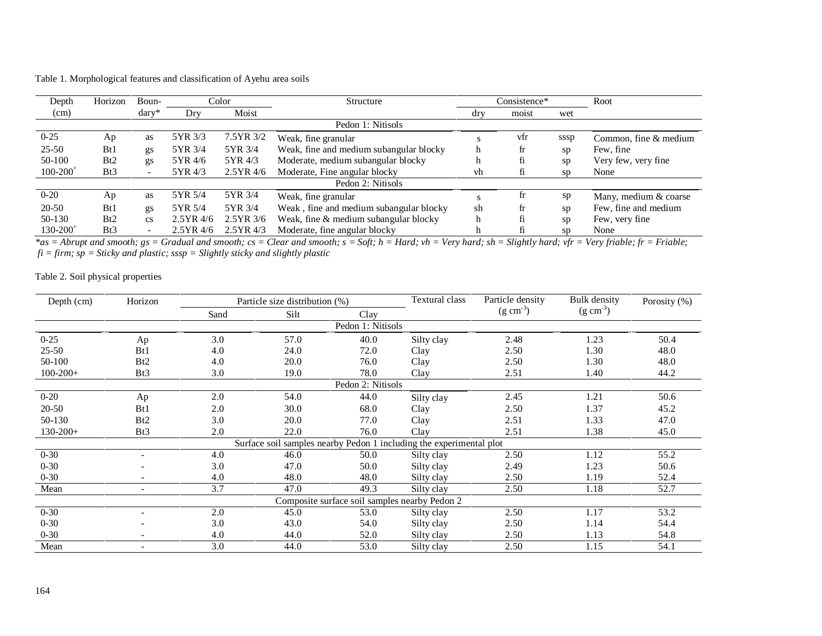Table 1. Morphological features and classification of Ayehu area soils

| Depth                    | Horizon          | Boun-                    | Color       |              | Structure                               |     | Consistence* |      | Root                  |
|--------------------------|------------------|--------------------------|-------------|--------------|-----------------------------------------|-----|--------------|------|-----------------------|
| (cm)                     |                  | $dary*$                  | Dry         | Moist        |                                         | dry | moist        | wet  |                       |
|                          |                  |                          |             |              | Pedon 1: Nitisols                       |     |              |      |                       |
| $0-25$                   | Ap               | <b>as</b>                | 5YR 3/3     | 7.5YR 3/2    | Weak, fine granular                     |     | vfr          | sssp | Common, fine & medium |
| $25 - 50$                | B <sub>t1</sub>  | gs                       | 5YR 3/4     | 5YR 3/4      | Weak, fine and medium subangular blocky | h   | fr           | sp   | Few, fine             |
| 50-100                   | Bt2              | gs                       | 5YR 4/6     | 5YR 4/3      | Moderate, medium subangular blocky      | h   |              | sp   | Very few, very fine   |
| $100 - 200$ <sup>+</sup> | B <sub>t</sub> 3 | $\overline{\phantom{a}}$ | 5YR 4/3     | $2.5YR$ 4/6  | Moderate, Fine angular blocky           |     |              | sp   | None                  |
|                          |                  |                          |             |              | Pedon 2: Nitisols                       |     |              |      |                       |
| $0 - 20$                 | Ap               | <b>as</b>                | 5YR 5/4     | 5YR 3/4      | Weak, fine granular                     |     | fr           | sp   | Many, medium & coarse |
| $20 - 50$                | B <sub>t1</sub>  | gs                       | 5YR 5/4     | 5YR 3/4      | Weak, fine and medium subangular blocky | sh  | fr           | sp   | Few, fine and medium  |
| 50-130                   | Bt2              | $\mathbf{c}\mathbf{s}$   | $2.5YR$ 4/6 | $2.5YR\,3/6$ | Weak, fine & medium subangular blocky   | h   |              | sp   | Few, very fine        |
| $130 - 200^+$            | Bt3              | $\overline{\phantom{a}}$ | $2.5YR$ 4/6 | $2.5YR$ 4/3  | Moderate, fine angular blocky           | n   |              | sp   | None                  |

\*as = Abrupt and smooth;  $gs$  = Gradual and smooth;  $cs$  = Clear and smooth;  $s$  = Soft;  $h$  = Hard;  $vh$  = Very hard;  $sh$  = Slightly hard;  $yfr$  = Very friable;  $fr$  = Friable; *fi = firm; sp = Sticky and plastic; sssp = Slightly sticky and slightly plastic*

Table 2. Soil physical properties

| Depth (cm) | Horizon          |      | Particle size distribution (%) |                   | Textural class                                                      | Particle density      | Bulk density          | Porosity (%) |  |
|------------|------------------|------|--------------------------------|-------------------|---------------------------------------------------------------------|-----------------------|-----------------------|--------------|--|
|            |                  | Sand | Silt                           | Clay              |                                                                     | $(g \text{ cm}^{-3})$ | $(g \text{ cm}^{-3})$ |              |  |
|            |                  |      |                                | Pedon 1: Nitisols |                                                                     |                       |                       |              |  |
| $0 - 25$   | Ap               | 3.0  | 57.0                           | 40.0              | Silty clay                                                          | 2.48                  | 1.23                  | 50.4         |  |
| $25 - 50$  | B <sub>t1</sub>  | 4.0  | 24.0                           | 72.0              | Clay                                                                | 2.50                  | 1.30                  | 48.0         |  |
| 50-100     | Bt2              | 4.0  | 20.0                           | 76.0              | Clay                                                                | 2.50                  | 1.30                  | 48.0         |  |
| $100-200+$ | Bt3              | 3.0  | 19.0                           | 78.0              | Clay                                                                | 2.51                  | 1.40                  | 44.2         |  |
|            |                  |      |                                | Pedon 2: Nitisols |                                                                     |                       |                       |              |  |
| $0 - 20$   | Ap               | 2.0  | 54.0                           | 44.0              | Silty clay                                                          | 2.45                  | 1.21                  | 50.6         |  |
| $20 - 50$  | B <sub>t1</sub>  | 2.0  | 30.0                           | 68.0              | Clay                                                                | 2.50                  | 1.37                  | 45.2         |  |
| 50-130     | Bt2              | 3.0  | 20.0                           | 77.0              | Clay                                                                | 2.51                  | 1.33                  | 47.0         |  |
| $130-200+$ | B <sub>t</sub> 3 | 2.0  | 22.0                           | 76.0              | Clay                                                                | 2.51                  | 1.38                  | 45.0         |  |
|            |                  |      |                                |                   | Surface soil samples nearby Pedon 1 including the experimental plot |                       |                       |              |  |
| $0 - 30$   |                  | 4.0  | 46.0                           | 50.0              | Silty clay                                                          | 2.50                  | 1.12                  | 55.2         |  |
| $0 - 30$   |                  | 3.0  | 47.0                           | 50.0              | Silty clay                                                          | 2.49                  | 1.23                  | 50.6         |  |
| $0 - 30$   |                  | 4.0  | 48.0                           | 48.0              | Silty clay                                                          | 2.50                  | 1.19                  | 52.4         |  |
| Mean       |                  | 3.7  | 47.0                           | 49.3              | Silty clay                                                          | 2.50                  | 1.18                  | 52.7         |  |
|            |                  |      |                                |                   | Composite surface soil samples nearby Pedon 2                       |                       |                       |              |  |
| $0 - 30$   |                  | 2.0  | 45.0                           | 53.0              | Silty clay                                                          | 2.50                  | 1.17                  | 53.2         |  |
| $0 - 30$   |                  | 3.0  | 43.0                           | 54.0              | Silty clay                                                          | 2.50                  | 1.14                  | 54.4         |  |
| $0 - 30$   |                  | 4.0  | 44.0                           | 52.0              | Silty clay                                                          | 2.50                  | 1.13                  | 54.8         |  |
| Mean       |                  | 3.0  | 44.0                           | 53.0              | Silty clay                                                          | 2.50                  | 1.15                  | 54.1         |  |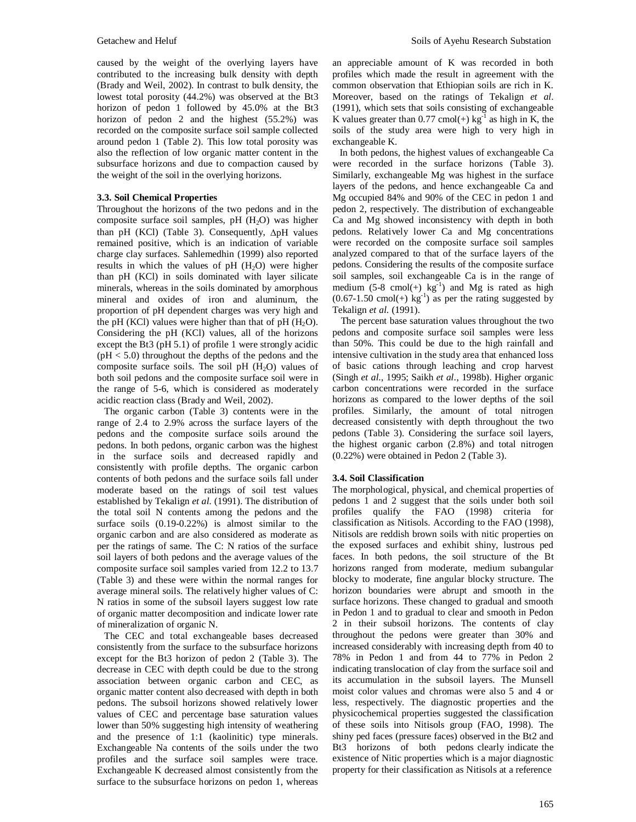caused by the weight of the overlying layers have contributed to the increasing bulk density with depth (Brady and Weil, 2002). In contrast to bulk density, the lowest total porosity (44.2%) was observed at the Bt3 horizon of pedon 1 followed by 45.0% at the Bt3 horizon of pedon 2 and the highest (55.2%) was recorded on the composite surface soil sample collected around pedon 1 (Table 2). This low total porosity was also the reflection of low organic matter content in the subsurface horizons and due to compaction caused by the weight of the soil in the overlying horizons.

## **3.3. Soil Chemical Properties**

Throughout the horizons of the two pedons and in the composite surface soil samples,  $pH$  ( $H_2O$ ) was higher than pH (KCl) (Table 3). Consequently,  $\Delta pH$  values remained positive, which is an indication of variable charge clay surfaces. Sahlemedhin (1999) also reported results in which the values of  $pH$  ( $H_2O$ ) were higher than pH (KCl) in soils dominated with layer silicate minerals, whereas in the soils dominated by amorphous mineral and oxides of iron and aluminum, the proportion of pH dependent charges was very high and the pH (KCl) values were higher than that of pH ( $H_2O$ ). Considering the pH (KCl) values, all of the horizons except the Bt3 (pH 5.1) of profile 1 were strongly acidic  $(pH < 5.0)$  throughout the depths of the pedons and the composite surface soils. The soil pH  $(H<sub>2</sub>O)$  values of both soil pedons and the composite surface soil were in the range of 5-6, which is considered as moderately acidic reaction class (Brady and Weil, 2002).

The organic carbon (Table 3) contents were in the range of 2.4 to 2.9% across the surface layers of the pedons and the composite surface soils around the pedons. In both pedons, organic carbon was the highest in the surface soils and decreased rapidly and consistently with profile depths. The organic carbon contents of both pedons and the surface soils fall under moderate based on the ratings of soil test values established by Tekalign *et al.* (1991). The distribution of the total soil N contents among the pedons and the surface soils (0.19-0.22%) is almost similar to the organic carbon and are also considered as moderate as per the ratings of same. The C: N ratios of the surface soil layers of both pedons and the average values of the composite surface soil samples varied from 12.2 to 13.7 (Table 3) and these were within the normal ranges for average mineral soils. The relatively higher values of C: N ratios in some of the subsoil layers suggest low rate of organic matter decomposition and indicate lower rate of mineralization of organic N.

The CEC and total exchangeable bases decreased consistently from the surface to the subsurface horizons except for the Bt3 horizon of pedon 2 (Table 3). The decrease in CEC with depth could be due to the strong association between organic carbon and CEC, as organic matter content also decreased with depth in both pedons. The subsoil horizons showed relatively lower values of CEC and percentage base saturation values lower than 50% suggesting high intensity of weathering and the presence of 1:1 (kaolinitic) type minerals. Exchangeable Na contents of the soils under the two profiles and the surface soil samples were trace. Exchangeable K decreased almost consistently from the surface to the subsurface horizons on pedon 1, whereas

an appreciable amount of K was recorded in both profiles which made the result in agreement with the common observation that Ethiopian soils are rich in K. Moreover, based on the ratings of Tekalign *et al.* (1991), which sets that soils consisting of exchangeable K values greater than  $0.77 \text{ cmol}(+)$  kg<sup>-1</sup> as high in K, the soils of the study area were high to very high in exchangeable K.

In both pedons, the highest values of exchangeable Ca were recorded in the surface horizons (Table 3). Similarly, exchangeable Mg was highest in the surface layers of the pedons, and hence exchangeable Ca and Mg occupied 84% and 90% of the CEC in pedon 1 and pedon 2, respectively. The distribution of exchangeable Ca and Mg showed inconsistency with depth in both pedons. Relatively lower Ca and Mg concentrations were recorded on the composite surface soil samples analyzed compared to that of the surface layers of the pedons. Considering the results of the composite surface soil samples, soil exchangeable Ca is in the range of medium  $(5-8 \text{ cmol}(+) \text{ kg}^{-1})$  and Mg is rated as high  $(0.67-1.50 \text{ cmol}(+) \text{ kg}^{-1})$  as per the rating suggested by Tekalign *et al.* (1991).

The percent base saturation values throughout the two pedons and composite surface soil samples were less than 50%. This could be due to the high rainfall and intensive cultivation in the study area that enhanced loss of basic cations through leaching and crop harvest (Singh *et al.*, 1995; Saikh *et al.*, 1998b). Higher organic carbon concentrations were recorded in the surface horizons as compared to the lower depths of the soil profiles. Similarly, the amount of total nitrogen decreased consistently with depth throughout the two pedons (Table 3). Considering the surface soil layers, the highest organic carbon (2.8%) and total nitrogen (0.22%) were obtained in Pedon 2 (Table 3).

## **3.4. Soil Classification**

The morphological, physical, and chemical properties of pedons 1 and 2 suggest that the soils under both soil profiles qualify the FAO (1998) criteria for classification as Nitisols. According to the FAO (1998), Nitisols are reddish brown soils with nitic properties on the exposed surfaces and exhibit shiny, lustrous ped faces. In both pedons, the soil structure of the Bt horizons ranged from moderate, medium subangular blocky to moderate, fine angular blocky structure. The horizon boundaries were abrupt and smooth in the surface horizons. These changed to gradual and smooth in Pedon 1 and to gradual to clear and smooth in Pedon 2 in their subsoil horizons. The contents of clay throughout the pedons were greater than 30% and increased considerably with increasing depth from 40 to 78% in Pedon 1 and from 44 to 77% in Pedon 2 indicating translocation of clay from the surface soil and its accumulation in the subsoil layers. The Munsell moist color values and chromas were also 5 and 4 or less, respectively. The diagnostic properties and the physicochemical properties suggested the classification of these soils into Nitisols group (FAO, 1998). The shiny ped faces (pressure faces) observed in the Bt2 and Bt3 horizons of both pedons clearly indicate the existence of Nitic properties which is a major diagnostic property for their classification as Nitisols at a reference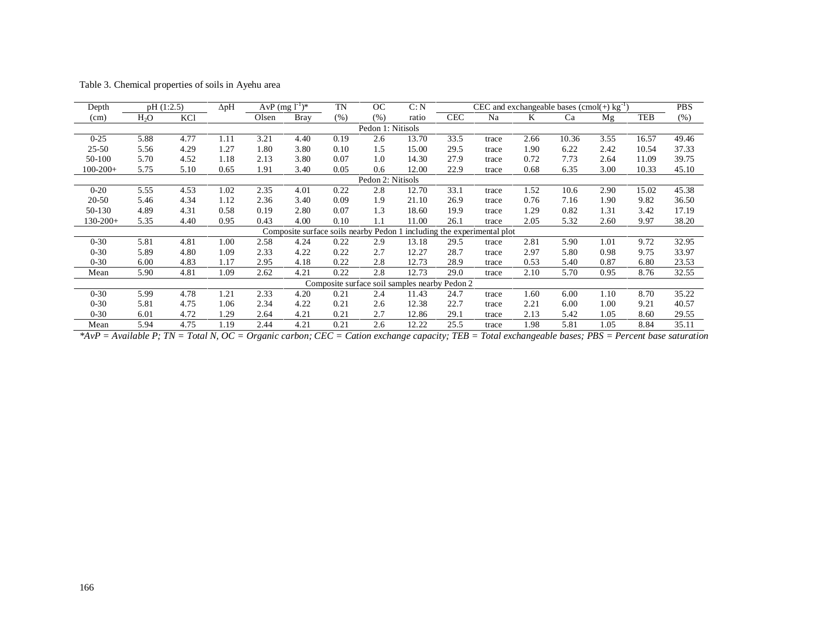|  | Table 3. Chemical properties of soils in Ayehu area |
|--|-----------------------------------------------------|
|--|-----------------------------------------------------|

| Depth         | pH (1:2.5)       |      | $\Delta$ pH |       | AvP $(mg l^{-1})^*$ | <b>TN</b>                            | <sub>OC</sub>     | C: N                                          | CEC and exchangeable bases (cmol(+) $kg^{-1}$ ) |                                 |      |       |      |       | <b>PBS</b> |
|---------------|------------------|------|-------------|-------|---------------------|--------------------------------------|-------------------|-----------------------------------------------|-------------------------------------------------|---------------------------------|------|-------|------|-------|------------|
| (cm)          | H <sub>2</sub> O | KCl  |             | Olsen | <b>Bray</b>         | (% )                                 | (% )              | ratio                                         | <b>CEC</b>                                      | Na                              | K    | Ca    | Mg   | TEB   | $(\% )$    |
|               |                  |      |             |       |                     |                                      | Pedon 1: Nitisols |                                               |                                                 |                                 |      |       |      |       |            |
| $0 - 25$      | 5.88             | 4.77 | 1.11        | 3.21  | 4.40                | 0.19                                 | 2.6               | 13.70                                         | 33.5                                            | trace                           | 2.66 | 10.36 | 3.55 | 16.57 | 49.46      |
| $25 - 50$     | 5.56             | 4.29 | 1.27        | 1.80  | 3.80                | 0.10                                 | 1.5               | 15.00                                         | 29.5                                            | trace                           | 1.90 | 6.22  | 2.42 | 10.54 | 37.33      |
| 50-100        | 5.70             | 4.52 | 1.18        | 2.13  | 3.80                | 0.07                                 | 1.0               | 14.30                                         | 27.9                                            | trace                           | 0.72 | 7.73  | 2.64 | 11.09 | 39.75      |
| $100 - 200 +$ | 5.75             | 5.10 | 0.65        | 1.91  | 3.40                | 0.05                                 | 0.6               | 12.00                                         | 22.9                                            | trace                           | 0.68 | 6.35  | 3.00 | 10.33 | 45.10      |
|               |                  |      |             |       |                     |                                      | Pedon 2: Nitisols |                                               |                                                 |                                 |      |       |      |       |            |
| $0 - 20$      | 5.55             | 4.53 | 1.02        | 2.35  | 4.01                | 0.22                                 | 2.8               | 12.70                                         | 33.1                                            | trace                           | 1.52 | 10.6  | 2.90 | 15.02 | 45.38      |
| $20 - 50$     | 5.46             | 4.34 | 1.12        | 2.36  | 3.40                | 0.09                                 | 1.9               | 21.10                                         | 26.9                                            | trace                           | 0.76 | 7.16  | 1.90 | 9.82  | 36.50      |
| 50-130        | 4.89             | 4.31 | 0.58        | 0.19  | 2.80                | 0.07                                 | 1.3               | 18.60                                         | 19.9                                            | trace                           | 1.29 | 0.82  | 1.31 | 3.42  | 17.19      |
| $130-200+$    | 5.35             | 4.40 | 0.95        | 0.43  | 4.00                | 0.10                                 | 1.1               | 11.00                                         | 26.1                                            | trace                           | 2.05 | 5.32  | 2.60 | 9.97  | 38.20      |
|               |                  |      |             |       |                     | Composite surface soils nearby Pedon |                   |                                               |                                                 | including the experimental plot |      |       |      |       |            |
| $0 - 30$      | 5.81             | 4.81 | 1.00        | 2.58  | 4.24                | 0.22                                 | 2.9               | 13.18                                         | 29.5                                            | trace                           | 2.81 | 5.90  | 1.01 | 9.72  | 32.95      |
| $0 - 30$      | 5.89             | 4.80 | 1.09        | 2.33  | 4.22                | 0.22                                 | 2.7               | 12.27                                         | 28.7                                            | trace                           | 2.97 | 5.80  | 0.98 | 9.75  | 33.97      |
| $0 - 30$      | 6.00             | 4.83 | 1.17        | 2.95  | 4.18                | 0.22                                 | 2.8               | 12.73                                         | 28.9                                            | trace                           | 0.53 | 5.40  | 0.87 | 6.80  | 23.53      |
| Mean          | 5.90             | 4.81 | 1.09        | 2.62  | 4.21                | 0.22                                 | 2.8               | 12.73                                         | 29.0                                            | trace                           | 2.10 | 5.70  | 0.95 | 8.76  | 32.55      |
|               |                  |      |             |       |                     |                                      |                   | Composite surface soil samples nearby Pedon 2 |                                                 |                                 |      |       |      |       |            |
| $0 - 30$      | 5.99             | 4.78 | 1.21        | 2.33  | 4.20                | 0.21                                 | 2.4               | 11.43                                         | 24.7                                            | trace                           | 1.60 | 6.00  | 1.10 | 8.70  | 35.22      |
| $0 - 30$      | 5.81             | 4.75 | 1.06        | 2.34  | 4.22                | 0.21                                 | 2.6               | 12.38                                         | 22.7                                            | trace                           | 2.21 | 6.00  | 1.00 | 9.21  | 40.57      |
| $0 - 30$      | 6.01             | 4.72 | 1.29        | 2.64  | 4.21                | 0.21                                 | 2.7               | 12.86                                         | 29.1                                            | trace                           | 2.13 | 5.42  | 1.05 | 8.60  | 29.55      |
| Mean          | 5.94             | 4.75 | 1.19        | 2.44  | 4.21                | 0.21                                 | 2.6               | 12.22                                         | 25.5                                            | trace                           | 1.98 | 5.81  | 1.05 | 8.84  | 35.11      |

\*AvP = Available P; TN = Total N, OC = Organic carbon; CEC = Cation exchange capacity; TEB = Total exchangeable bases; PBS = Percent base saturation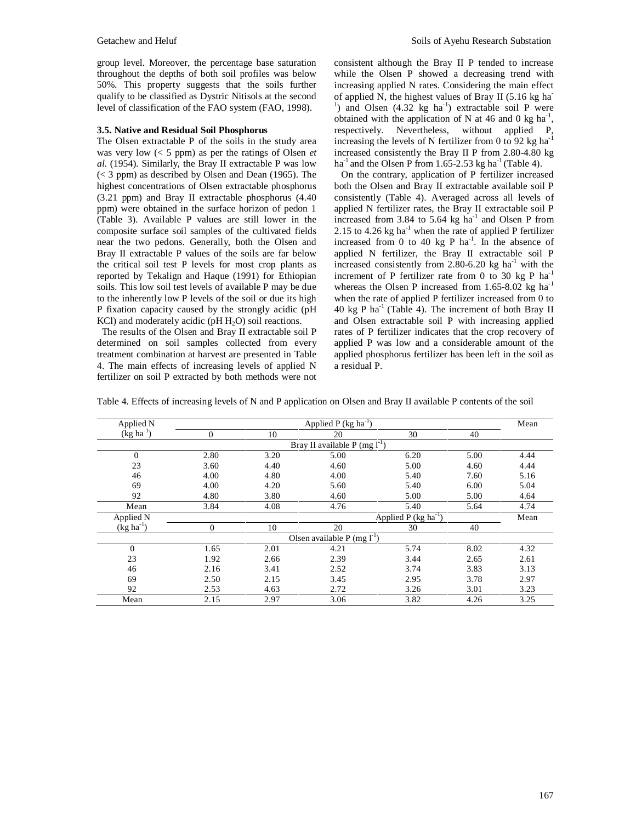group level. Moreover, the percentage base saturation throughout the depths of both soil profiles was below 50%. This property suggests that the soils further qualify to be classified as Dystric Nitisols at the second level of classification of the FAO system (FAO, 1998).

#### **3.5. Native and Residual Soil Phosphorus**

The Olsen extractable P of the soils in the study area was very low (< 5 ppm) as per the ratings of Olsen *et al.* (1954). Similarly, the Bray II extractable P was low (< 3 ppm) as described by Olsen and Dean (1965). The highest concentrations of Olsen extractable phosphorus (3.21 ppm) and Bray II extractable phosphorus (4.40 ppm) were obtained in the surface horizon of pedon 1 (Table 3). Available P values are still lower in the composite surface soil samples of the cultivated fields near the two pedons. Generally, both the Olsen and Bray II extractable P values of the soils are far below the critical soil test P levels for most crop plants as reported by Tekalign and Haque (1991) for Ethiopian soils. This low soil test levels of available P may be due to the inherently low P levels of the soil or due its high P fixation capacity caused by the strongly acidic (pH  $KCl$ ) and moderately acidic ( $pH H<sub>2</sub>O$ ) soil reactions.

The results of the Olsen and Bray II extractable soil P determined on soil samples collected from every treatment combination at harvest are presented in Table 4. The main effects of increasing levels of applied N fertilizer on soil P extracted by both methods were not consistent although the Bray II P tended to increase while the Olsen P showed a decreasing trend with increasing applied N rates. Considering the main effect of applied N, the highest values of Bray II (5.16 kg ha <sup>1</sup>) and Olsen  $(4.32 \text{ kg} \text{ ha}^{-1})$  extractable soil P were obtained with the application of N at 46 and 0 kg ha<sup>-1</sup>, respectively. Nevertheless, without applied P, increasing the levels of N fertilizer from 0 to 92 kg ha<sup>-1</sup> increased consistently the Bray II P from 2.80-4.80 kg ha<sup>-1</sup> and the Olsen P from 1.65-2.53 kg ha<sup>-1</sup> (Table 4).

On the contrary, application of P fertilizer increased both the Olsen and Bray II extractable available soil P consistently (Table 4). Averaged across all levels of applied N fertilizer rates, the Bray II extractable soil P increased from  $3.84$  to  $5.64$  kg ha<sup>-1</sup> and Olsen P from 2.15 to 4.26 kg  $ha^{-1}$  when the rate of applied P fertilizer increased from 0 to 40 kg P  $ha^{-1}$ . In the absence of applied N fertilizer, the Bray II extractable soil P increased consistently from  $2.80 - 6.20$  kg ha<sup>-1</sup> with the increment of P fertilizer rate from 0 to 30 kg P  $ha^{-1}$ whereas the Olsen P increased from  $1.65-8.02$  kg ha<sup>-1</sup> when the rate of applied P fertilizer increased from 0 to  $40 \text{ kg P}$  ha<sup>-1</sup> (Table 4). The increment of both Bray II and Olsen extractable soil P with increasing applied rates of P fertilizer indicates that the crop recovery of applied P was low and a considerable amount of the applied phosphorus fertilizer has been left in the soil as a residual P.

| Applied N      | Applied $P$ (kg ha <sup>-1</sup> ) |      |                                             |                                    |      |      |  |  |  |
|----------------|------------------------------------|------|---------------------------------------------|------------------------------------|------|------|--|--|--|
| $(kg ha^{-1})$ | $\overline{0}$                     | 10   | 20                                          | 30                                 | 40   |      |  |  |  |
|                |                                    |      | Bray II available $P$ (mg $I^{\text{-}1}$ ) |                                    |      |      |  |  |  |
| $\theta$       | 2.80                               | 3.20 | 5.00                                        | 6.20                               | 5.00 | 4.44 |  |  |  |
| 23             | 3.60                               | 4.40 | 4.60                                        | 5.00                               | 4.60 | 4.44 |  |  |  |
| 46             | 4.00                               | 4.80 | 4.00                                        | 5.40                               | 7.60 | 5.16 |  |  |  |
| 69             | 4.00                               | 4.20 | 5.60                                        | 5.40                               | 6.00 | 5.04 |  |  |  |
| 92             | 4.80                               | 3.80 | 4.60                                        | 5.00                               | 5.00 | 4.64 |  |  |  |
| Mean           | 3.84                               | 4.08 | 4.76                                        | 5.40                               | 5.64 | 4.74 |  |  |  |
| Applied N      |                                    |      |                                             | Applied $P$ (kg ha <sup>-1</sup> ) |      | Mean |  |  |  |
| $(kg ha-1)$    | $\overline{0}$                     | 10   | 20                                          | 30                                 | 40   |      |  |  |  |
|                |                                    |      | Olsen available $P$ (mg $1^{-1}$ )          |                                    |      |      |  |  |  |
| $\Omega$       | 1.65                               | 2.01 | 4.21                                        | 5.74                               | 8.02 | 4.32 |  |  |  |
| 23             | 1.92                               | 2.66 | 2.39                                        | 3.44                               | 2.65 | 2.61 |  |  |  |
| 46             | 2.16                               | 3.41 | 2.52                                        | 3.74                               | 3.83 | 3.13 |  |  |  |
| 69             | 2.50                               | 2.15 | 3.45                                        | 2.95                               | 3.78 | 2.97 |  |  |  |
| 92             | 2.53                               | 4.63 | 2.72                                        | 3.26                               | 3.01 | 3.23 |  |  |  |
| Mean           | 2.15                               | 2.97 | 3.06                                        | 3.82                               | 4.26 | 3.25 |  |  |  |

|  |  |  |  |  | Table 4. Effects of increasing levels of N and P application on Olsen and Bray II available P contents of the soil |  |
|--|--|--|--|--|--------------------------------------------------------------------------------------------------------------------|--|
|  |  |  |  |  |                                                                                                                    |  |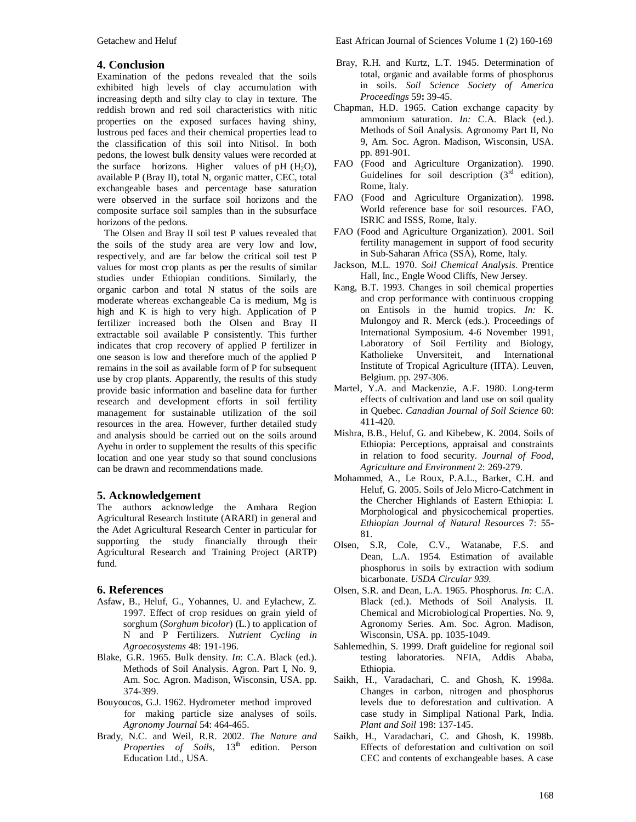## **4. Conclusion**

Examination of the pedons revealed that the soils exhibited high levels of clay accumulation with increasing depth and silty clay to clay in texture. The reddish brown and red soil characteristics with nitic properties on the exposed surfaces having shiny, lustrous ped faces and their chemical properties lead to the classification of this soil into Nitisol. In both pedons, the lowest bulk density values were recorded at the surface horizons. Higher values of  $pH$  ( $H_2O$ ), available P (Bray II), total N, organic matter, CEC, total exchangeable bases and percentage base saturation were observed in the surface soil horizons and the composite surface soil samples than in the subsurface horizons of the pedons.

The Olsen and Bray II soil test P values revealed that the soils of the study area are very low and low, respectively, and are far below the critical soil test P values for most crop plants as per the results of similar studies under Ethiopian conditions. Similarly, the organic carbon and total N status of the soils are moderate whereas exchangeable Ca is medium, Mg is high and K is high to very high. Application of P fertilizer increased both the Olsen and Bray II extractable soil available P consistently. This further indicates that crop recovery of applied P fertilizer in one season is low and therefore much of the applied P remains in the soil as available form of P for subsequent use by crop plants. Apparently, the results of this study provide basic information and baseline data for further research and development efforts in soil fertility management for sustainable utilization of the soil resources in the area. However, further detailed study and analysis should be carried out on the soils around Ayehu in order to supplement the results of this specific location and one year study so that sound conclusions can be drawn and recommendations made.

## **5. Acknowledgement**

The authors acknowledge the Amhara Region Agricultural Research Institute (ARARI) in general and the Adet Agricultural Research Center in particular for supporting the study financially through their Agricultural Research and Training Project (ARTP) fund.

## **6. References**

- Asfaw, B., Heluf, G., Yohannes, U. and Eylachew, Z. 1997. Effect of crop residues on grain yield of sorghum (*Sorghum bicolor*) (L.) to application of N and P Fertilizers. *Nutrient Cycling in Agroecosystems* 48: 191-196.
- Blake, G.R. 1965. Bulk density. *In*: C.A. Black (ed.). Methods of Soil Analysis. Agron. Part I, No. 9, Am. Soc. Agron. Madison, Wisconsin, USA. pp. 374-399.
- Bouyoucos, G.J. 1962. Hydrometer method improved for making particle size analyses of soils. *Agronomy Journal* 54: 464-465.
- Brady, N.C. and Weil, R.R. 2002. *The Nature and Properties of Soils*, 13<sup>th</sup> edition. Person Education Ltd., USA.
- Bray, R.H. and Kurtz, L.T. 1945. Determination of total, organic and available forms of phosphorus in soils. *Soil Science Society of America Proceedings* 59**:** 39-45.
- Chapman, H.D. 1965. Cation exchange capacity by ammonium saturation. *In:* C.A. Black (ed.). Methods of Soil Analysis. Agronomy Part II, No 9, Am. Soc. Agron. Madison, Wisconsin, USA. pp. 891-901.
- FAO (Food and Agriculture Organization). 1990. Guidelines for soil description  $(3<sup>rd</sup>$  edition), Rome, Italy.
- FAO (Food and Agriculture Organization). 1998**.** World reference base for soil resources. FAO, ISRIC and ISSS, Rome, Italy.
- FAO (Food and Agriculture Organization). 2001. Soil fertility management in support of food security in Sub-Saharan Africa (SSA), Rome, Italy.
- Jackson, M.L. 1970. *Soil Chemical Analysis*. Prentice Hall, Inc., Engle Wood Cliffs, New Jersey.
- Kang, B.T. 1993. Changes in soil chemical properties and crop performance with continuous cropping on Entisols in the humid tropics. *In:* K. Mulongoy and R. Merck (eds.). Proceedings of International Symposium. 4-6 November 1991, Laboratory of Soil Fertility and Biology, Katholieke Unversiteit, and International Institute of Tropical Agriculture (IITA). Leuven, Belgium. pp. 297-306.
- Martel, Y.A. and Mackenzie, A.F. 1980. Long-term effects of cultivation and land use on soil quality in Quebec. *Canadian Journal of Soil Science* 60: 411-420.
- Mishra, B.B., Heluf, G. and Kibebew, K. 2004. Soils of Ethiopia: Perceptions, appraisal and constraints in relation to food security. *Journal of Food, Agriculture and Environment* 2: 269-279.
- Mohammed, A., Le Roux, P.A.L., Barker, C.H. and Heluf, G. 2005. Soils of Jelo Micro-Catchment in the Chercher Highlands of Eastern Ethiopia: I. Morphological and physicochemical properties. *Ethiopian Journal of Natural Resources* 7: 55- 81.
- Olsen, S.R, Cole, C.V., Watanabe, F.S. and Dean, L.A. 1954. Estimation of available phosphorus in soils by extraction with sodium bicarbonate. *USDA Circular 939.*
- Olsen, S.R. and Dean, L.A. 1965. Phosphorus. *In:* C.A. Black (ed.). Methods of Soil Analysis. II. Chemical and Microbiological Properties. No. 9, Agronomy Series. Am. Soc. Agron. Madison, Wisconsin, USA. pp. 1035-1049.
- Sahlemedhin, S. 1999. Draft guideline for regional soil testing laboratories. NFIA, Addis Ababa, Ethiopia.
- Saikh, H., Varadachari, C. and Ghosh, K. 1998a. Changes in carbon, nitrogen and phosphorus levels due to deforestation and cultivation. A case study in Simplipal National Park, India. *Plant and Soil* 198: 137-145.
- Saikh, H., Varadachari, C. and Ghosh, K. 1998b. Effects of deforestation and cultivation on soil CEC and contents of exchangeable bases. A case